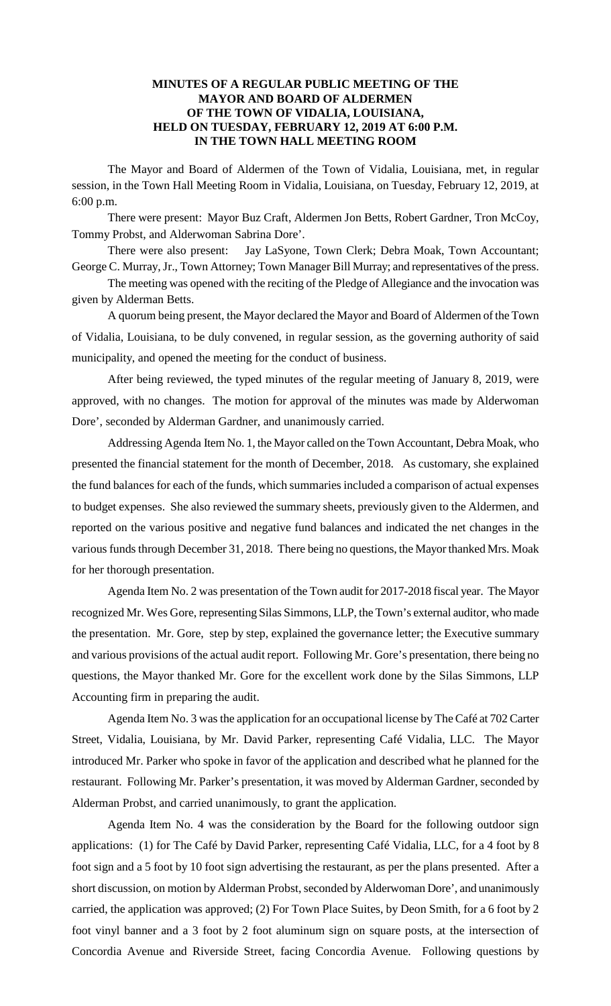## **MINUTES OF A REGULAR PUBLIC MEETING OF THE MAYOR AND BOARD OF ALDERMEN OF THE TOWN OF VIDALIA, LOUISIANA, HELD ON TUESDAY, FEBRUARY 12, 2019 AT 6:00 P.M. IN THE TOWN HALL MEETING ROOM**

The Mayor and Board of Aldermen of the Town of Vidalia, Louisiana, met, in regular session, in the Town Hall Meeting Room in Vidalia, Louisiana, on Tuesday, February 12, 2019, at 6:00 p.m.

There were present: Mayor Buz Craft, Aldermen Jon Betts, Robert Gardner, Tron McCoy, Tommy Probst, and Alderwoman Sabrina Dore'.

There were also present: Jay LaSyone, Town Clerk; Debra Moak, Town Accountant; George C. Murray, Jr., Town Attorney; Town Manager Bill Murray; and representatives of the press.

The meeting was opened with the reciting of the Pledge of Allegiance and the invocation was given by Alderman Betts.

A quorum being present, the Mayor declared the Mayor and Board of Aldermen of the Town of Vidalia, Louisiana, to be duly convened, in regular session, as the governing authority of said municipality, and opened the meeting for the conduct of business.

After being reviewed, the typed minutes of the regular meeting of January 8, 2019, were approved, with no changes. The motion for approval of the minutes was made by Alderwoman Dore', seconded by Alderman Gardner, and unanimously carried.

Addressing Agenda Item No. 1, the Mayor called on the Town Accountant, Debra Moak, who presented the financial statement for the month of December, 2018. As customary, she explained the fund balances for each of the funds, which summaries included a comparison of actual expenses to budget expenses. She also reviewed the summary sheets, previously given to the Aldermen, and reported on the various positive and negative fund balances and indicated the net changes in the various funds through December 31, 2018. There being no questions, the Mayor thanked Mrs. Moak for her thorough presentation.

Agenda Item No. 2 was presentation of the Town audit for 2017-2018 fiscal year. The Mayor recognized Mr. Wes Gore, representing Silas Simmons, LLP, the Town's external auditor, who made the presentation. Mr. Gore, step by step, explained the governance letter; the Executive summary and various provisions of the actual audit report. Following Mr. Gore's presentation, there being no questions, the Mayor thanked Mr. Gore for the excellent work done by the Silas Simmons, LLP Accounting firm in preparing the audit.

Agenda Item No. 3 was the application for an occupational license by The Café at 702 Carter Street, Vidalia, Louisiana, by Mr. David Parker, representing Café Vidalia, LLC. The Mayor introduced Mr. Parker who spoke in favor of the application and described what he planned for the restaurant. Following Mr. Parker's presentation, it was moved by Alderman Gardner, seconded by Alderman Probst, and carried unanimously, to grant the application.

Agenda Item No. 4 was the consideration by the Board for the following outdoor sign applications: (1) for The Café by David Parker, representing Café Vidalia, LLC, for a 4 foot by 8 foot sign and a 5 foot by 10 foot sign advertising the restaurant, as per the plans presented. After a short discussion, on motion by Alderman Probst, seconded by Alderwoman Dore', and unanimously carried, the application was approved; (2) For Town Place Suites, by Deon Smith, for a 6 foot by 2 foot vinyl banner and a 3 foot by 2 foot aluminum sign on square posts, at the intersection of Concordia Avenue and Riverside Street, facing Concordia Avenue. Following questions by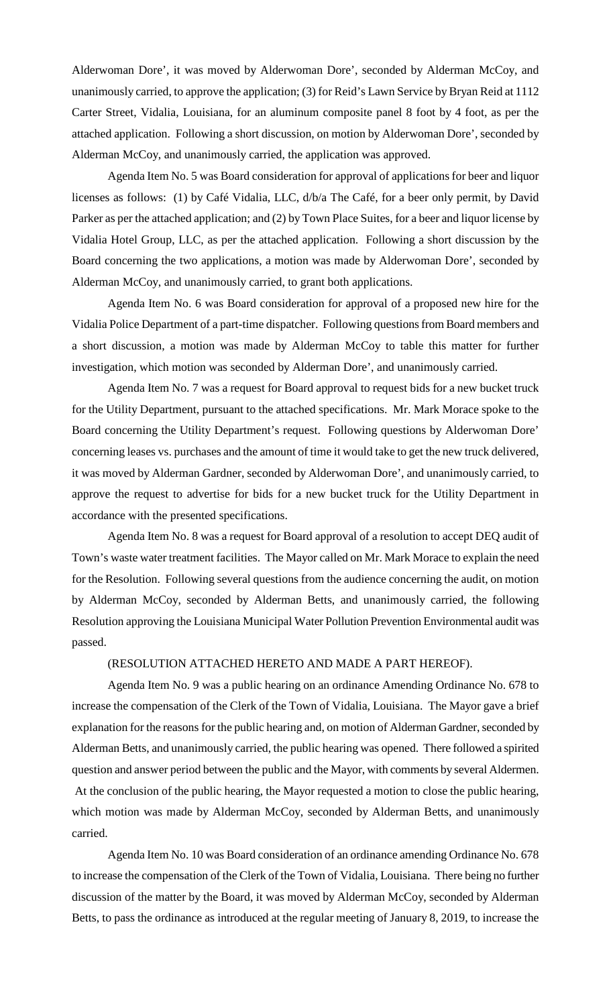Alderwoman Dore', it was moved by Alderwoman Dore', seconded by Alderman McCoy, and unanimously carried, to approve the application; (3) for Reid's Lawn Service by Bryan Reid at 1112 Carter Street, Vidalia, Louisiana, for an aluminum composite panel 8 foot by 4 foot, as per the attached application. Following a short discussion, on motion by Alderwoman Dore', seconded by Alderman McCoy, and unanimously carried, the application was approved.

Agenda Item No. 5 was Board consideration for approval of applications for beer and liquor licenses as follows: (1) by Café Vidalia, LLC, d/b/a The Café, for a beer only permit, by David Parker as per the attached application; and (2) by Town Place Suites, for a beer and liquor license by Vidalia Hotel Group, LLC, as per the attached application. Following a short discussion by the Board concerning the two applications, a motion was made by Alderwoman Dore', seconded by Alderman McCoy, and unanimously carried, to grant both applications.

Agenda Item No. 6 was Board consideration for approval of a proposed new hire for the Vidalia Police Department of a part-time dispatcher. Following questions from Board members and a short discussion, a motion was made by Alderman McCoy to table this matter for further investigation, which motion was seconded by Alderman Dore', and unanimously carried.

Agenda Item No. 7 was a request for Board approval to request bids for a new bucket truck for the Utility Department, pursuant to the attached specifications. Mr. Mark Morace spoke to the Board concerning the Utility Department's request. Following questions by Alderwoman Dore' concerning leases vs. purchases and the amount of time it would take to get the new truck delivered, it was moved by Alderman Gardner, seconded by Alderwoman Dore', and unanimously carried, to approve the request to advertise for bids for a new bucket truck for the Utility Department in accordance with the presented specifications.

Agenda Item No. 8 was a request for Board approval of a resolution to accept DEQ audit of Town's waste water treatment facilities. The Mayor called on Mr. Mark Morace to explain the need for the Resolution. Following several questions from the audience concerning the audit, on motion by Alderman McCoy, seconded by Alderman Betts, and unanimously carried, the following Resolution approving the Louisiana Municipal Water Pollution Prevention Environmental audit was passed.

#### (RESOLUTION ATTACHED HERETO AND MADE A PART HEREOF).

Agenda Item No. 9 was a public hearing on an ordinance Amending Ordinance No. 678 to increase the compensation of the Clerk of the Town of Vidalia, Louisiana. The Mayor gave a brief explanation for the reasons for the public hearing and, on motion of Alderman Gardner, seconded by Alderman Betts, and unanimously carried, the public hearing was opened. There followed a spirited question and answer period between the public and the Mayor, with comments by several Aldermen. At the conclusion of the public hearing, the Mayor requested a motion to close the public hearing, which motion was made by Alderman McCoy, seconded by Alderman Betts, and unanimously carried.

Agenda Item No. 10 was Board consideration of an ordinance amending Ordinance No. 678 to increase the compensation of the Clerk of the Town of Vidalia, Louisiana. There being no further discussion of the matter by the Board, it was moved by Alderman McCoy, seconded by Alderman Betts, to pass the ordinance as introduced at the regular meeting of January 8, 2019, to increase the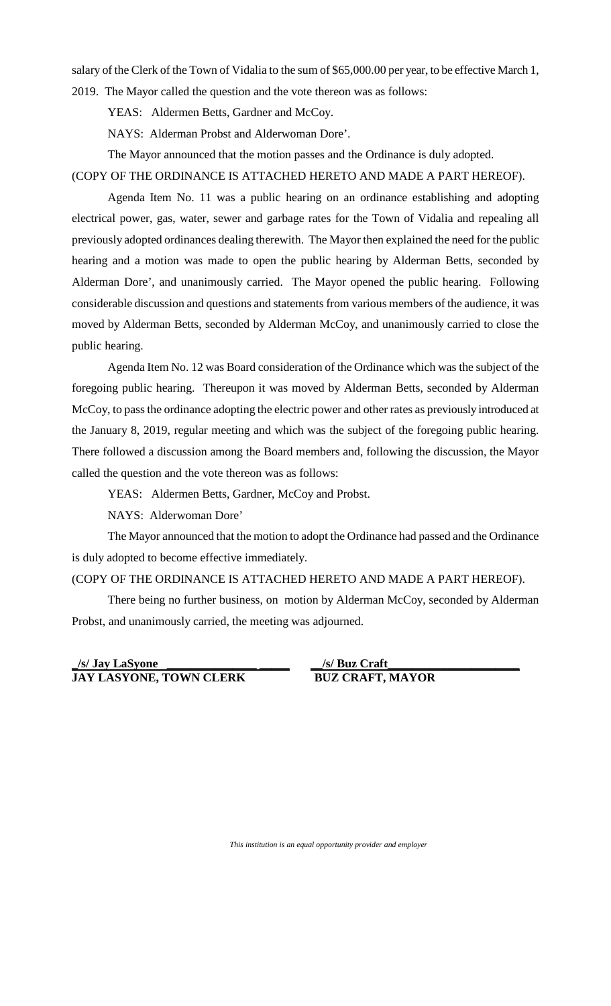salary of the Clerk of the Town of Vidalia to the sum of \$65,000.00 per year, to be effective March 1, 2019. The Mayor called the question and the vote thereon was as follows:

YEAS: Aldermen Betts, Gardner and McCoy.

NAYS: Alderman Probst and Alderwoman Dore'.

The Mayor announced that the motion passes and the Ordinance is duly adopted.

## (COPY OF THE ORDINANCE IS ATTACHED HERETO AND MADE A PART HEREOF).

Agenda Item No. 11 was a public hearing on an ordinance establishing and adopting electrical power, gas, water, sewer and garbage rates for the Town of Vidalia and repealing all previously adopted ordinances dealing therewith. The Mayor then explained the need for the public hearing and a motion was made to open the public hearing by Alderman Betts, seconded by Alderman Dore', and unanimously carried. The Mayor opened the public hearing. Following considerable discussion and questions and statements from various members of the audience, it was moved by Alderman Betts, seconded by Alderman McCoy, and unanimously carried to close the public hearing.

Agenda Item No. 12 was Board consideration of the Ordinance which was the subject of the foregoing public hearing. Thereupon it was moved by Alderman Betts, seconded by Alderman McCoy, to pass the ordinance adopting the electric power and other rates as previously introduced at the January 8, 2019, regular meeting and which was the subject of the foregoing public hearing. There followed a discussion among the Board members and, following the discussion, the Mayor called the question and the vote thereon was as follows:

YEAS: Aldermen Betts, Gardner, McCoy and Probst.

NAYS: Alderwoman Dore'

The Mayor announced that the motion to adopt the Ordinance had passed and the Ordinance is duly adopted to become effective immediately.

(COPY OF THE ORDINANCE IS ATTACHED HERETO AND MADE A PART HEREOF).

There being no further business, on motion by Alderman McCoy, seconded by Alderman Probst, and unanimously carried, the meeting was adjourned.

**\_/s/ Jay LaSyone \_\_\_\_\_\_\_\_\_\_\_\_\_\_\_ \_\_\_\_\_ JAY LASYONE, TOWN CLERK BUZ CRAFT, MAYOR**

**\_\_/s/ Buz Craft\_\_\_\_\_\_\_\_\_\_\_\_\_\_\_\_\_\_\_\_\_\_**

*This institution is an equal opportunity provider and employer*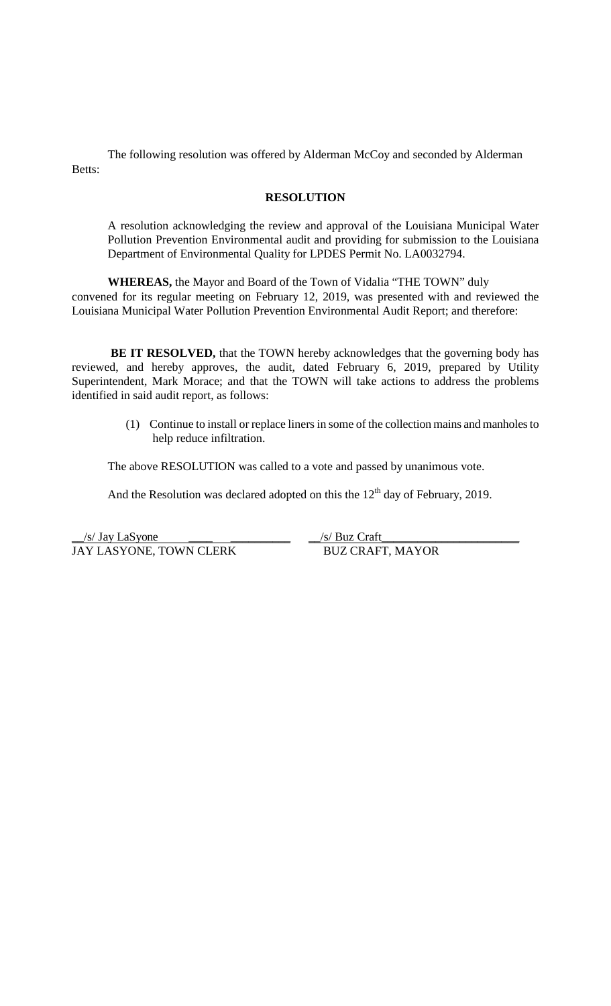The following resolution was offered by Alderman McCoy and seconded by Alderman Betts:

### **RESOLUTION**

A resolution acknowledging the review and approval of the Louisiana Municipal Water Pollution Prevention Environmental audit and providing for submission to the Louisiana Department of Environmental Quality for LPDES Permit No. LA0032794.

**WHEREAS,** the Mayor and Board of the Town of Vidalia "THE TOWN" duly convened for its regular meeting on February 12, 2019, was presented with and reviewed the Louisiana Municipal Water Pollution Prevention Environmental Audit Report; and therefore:

**BE IT RESOLVED,** that the TOWN hereby acknowledges that the governing body has reviewed, and hereby approves, the audit, dated February 6, 2019, prepared by Utility Superintendent, Mark Morace; and that the TOWN will take actions to address the problems identified in said audit report, as follows:

> (1) Continue to install or replace liners in some of the collection mains and manholes to help reduce infiltration.

The above RESOLUTION was called to a vote and passed by unanimous vote.

And the Resolution was declared adopted on this the  $12<sup>th</sup>$  day of February, 2019.

\_\_/s/ Jay LaSyone \_\_\_\_ \_\_\_\_\_\_\_\_\_\_ \_\_/s/ Buz Craft\_\_\_\_\_\_\_\_\_\_\_\_\_\_\_\_\_\_\_\_\_\_\_ JAY LASYONE, TOWN CLERK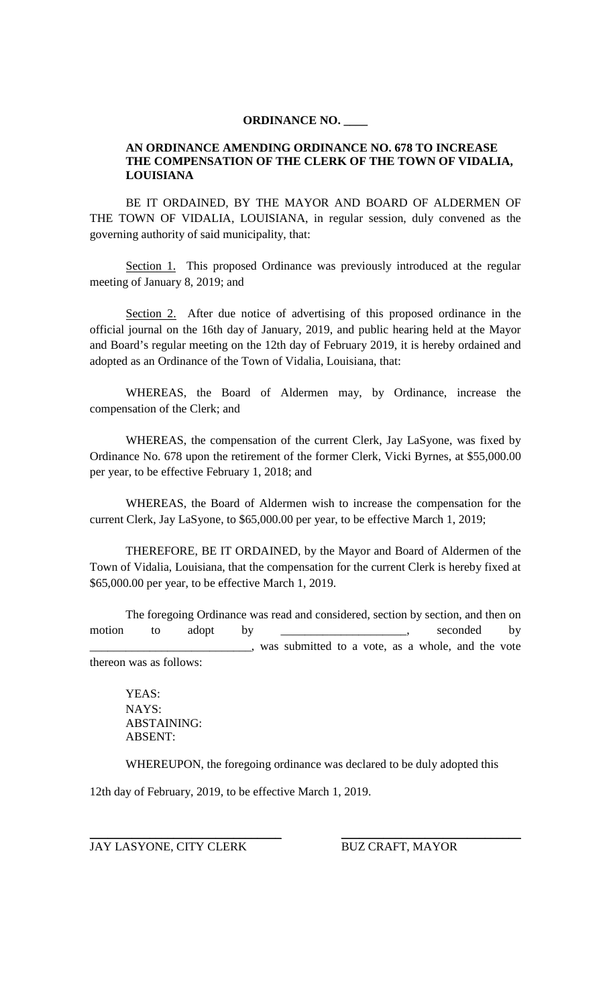### **ORDINANCE NO. \_\_\_\_**

### **AN ORDINANCE AMENDING ORDINANCE NO. 678 TO INCREASE THE COMPENSATION OF THE CLERK OF THE TOWN OF VIDALIA, LOUISIANA**

BE IT ORDAINED, BY THE MAYOR AND BOARD OF ALDERMEN OF THE TOWN OF VIDALIA, LOUISIANA, in regular session, duly convened as the governing authority of said municipality, that:

Section 1. This proposed Ordinance was previously introduced at the regular meeting of January 8, 2019; and

Section 2. After due notice of advertising of this proposed ordinance in the official journal on the 16th day of January, 2019, and public hearing held at the Mayor and Board's regular meeting on the 12th day of February 2019, it is hereby ordained and adopted as an Ordinance of the Town of Vidalia, Louisiana, that:

WHEREAS, the Board of Aldermen may, by Ordinance, increase the compensation of the Clerk; and

WHEREAS, the compensation of the current Clerk, Jay LaSyone, was fixed by Ordinance No. 678 upon the retirement of the former Clerk, Vicki Byrnes, at \$55,000.00 per year, to be effective February 1, 2018; and

WHEREAS, the Board of Aldermen wish to increase the compensation for the current Clerk, Jay LaSyone, to \$65,000.00 per year, to be effective March 1, 2019;

THEREFORE, BE IT ORDAINED, by the Mayor and Board of Aldermen of the Town of Vidalia, Louisiana, that the compensation for the current Clerk is hereby fixed at \$65,000.00 per year, to be effective March 1, 2019.

The foregoing Ordinance was read and considered, section by section, and then on motion to adopt by \_\_\_\_\_\_\_\_\_\_\_\_\_\_\_\_\_\_\_, seconded by \_\_\_\_\_\_\_\_\_\_\_\_\_\_\_\_\_\_\_\_\_\_\_\_\_\_\_, was submitted to a vote, as a whole, and the vote thereon was as follows:

YEAS: NAYS: ABSTAINING: ABSENT:

WHEREUPON, the foregoing ordinance was declared to be duly adopted this

12th day of February, 2019, to be effective March 1, 2019.

JAY LASYONE, CITY CLERK BUZ CRAFT, MAYOR

 $\mathcal{L}=\{1,2,3,4,5\}$ 

 $\overline{\phantom{a}}$  , where  $\overline{\phantom{a}}$  , where  $\overline{\phantom{a}}$  , where  $\overline{\phantom{a}}$  ,  $\overline{\phantom{a}}$  ,  $\overline{\phantom{a}}$  ,  $\overline{\phantom{a}}$  ,  $\overline{\phantom{a}}$  ,  $\overline{\phantom{a}}$  ,  $\overline{\phantom{a}}$  ,  $\overline{\phantom{a}}$  ,  $\overline{\phantom{a}}$  ,  $\overline{\phantom{a}}$  ,  $\overline{\phantom{a}}$  ,  $\overline{\phantom$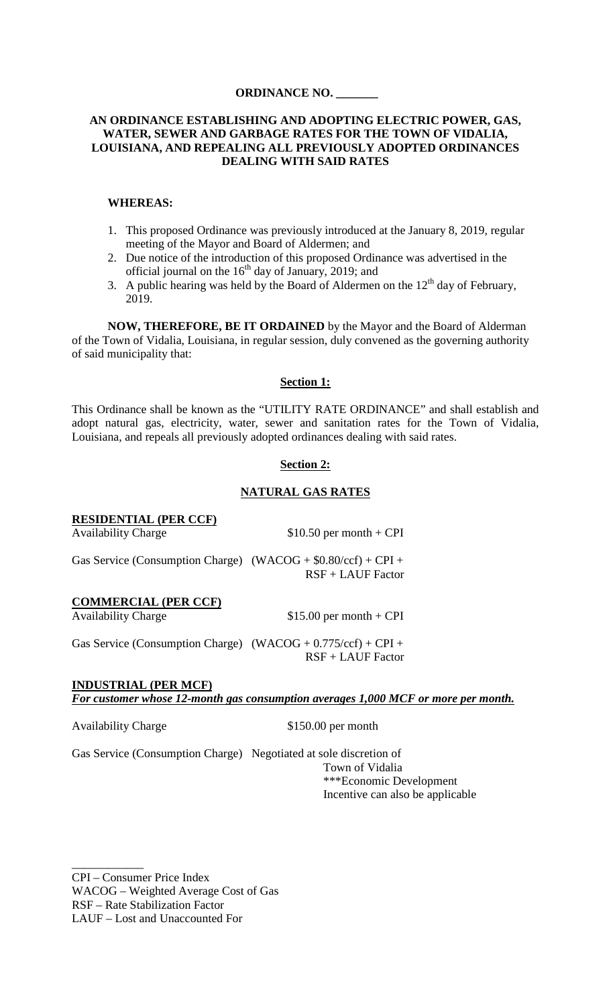## **ORDINANCE NO. \_\_\_\_\_\_\_**

## **AN ORDINANCE ESTABLISHING AND ADOPTING ELECTRIC POWER, GAS, WATER, SEWER AND GARBAGE RATES FOR THE TOWN OF VIDALIA, LOUISIANA, AND REPEALING ALL PREVIOUSLY ADOPTED ORDINANCES DEALING WITH SAID RATES**

### **WHEREAS:**

- 1. This proposed Ordinance was previously introduced at the January 8, 2019, regular meeting of the Mayor and Board of Aldermen; and
- 2. Due notice of the introduction of this proposed Ordinance was advertised in the official journal on the  $16<sup>th</sup>$  day of January, 2019; and
- 3. A public hearing was held by the Board of Aldermen on the  $12<sup>th</sup>$  day of February, 2019.

**NOW, THEREFORE, BE IT ORDAINED** by the Mayor and the Board of Alderman of the Town of Vidalia, Louisiana, in regular session, duly convened as the governing authority of said municipality that:

#### **Section 1:**

This Ordinance shall be known as the "UTILITY RATE ORDINANCE" and shall establish and adopt natural gas, electricity, water, sewer and sanitation rates for the Town of Vidalia, Louisiana, and repeals all previously adopted ordinances dealing with said rates.

## **Section 2:**

## **NATURAL GAS RATES**

| <b>RESIDENTIAL (PER CCF)</b>                                                 |                          |
|------------------------------------------------------------------------------|--------------------------|
| <b>Availability Charge</b>                                                   | $$10.50$ per month + CPI |
| Gas Service (Consumption Charge) $(WACOG + $0.80/\text{ccf}) + \text{CPI} +$ | $RSF + LAUF Factor$      |
| <b>COMMERCIAL (PER CCF)</b><br><b>Availability Charge</b>                    | $$15.00$ per month + CPI |
| Gas Service (Consumption Charge) $(WACOG + 0.775/ccf) + CPI +$               | $RSF + LAUF Factor$      |

### **INDUSTRIAL (PER MCF)** *For customer whose 12-month gas consumption averages 1,000 MCF or more per month.*

Availability Charge \$150.00 per month

\_\_\_\_\_\_\_\_\_\_\_\_

Gas Service (Consumption Charge) Negotiated at sole discretion of

Town of Vidalia \*\*\*Economic Development Incentive can also be applicable

CPI – Consumer Price Index WACOG – Weighted Average Cost of Gas RSF – Rate Stabilization Factor LAUF – Lost and Unaccounted For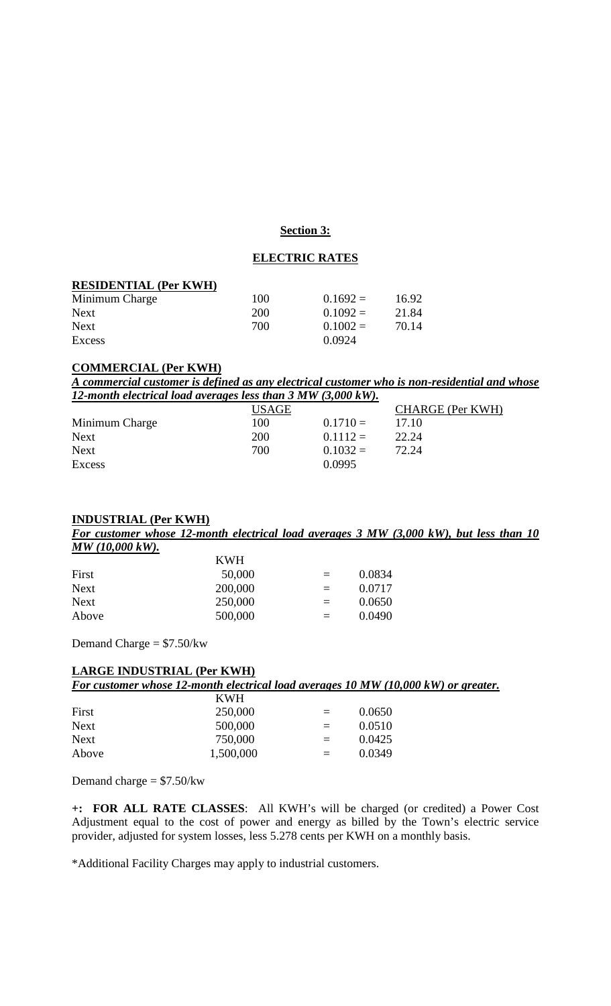### **Section 3:**

### **ELECTRIC RATES**

#### **RESIDENTIAL (Per KWH)**

| Minimum Charge | 100 | $0.1692 =$ | 16.92 |
|----------------|-----|------------|-------|
| <b>Next</b>    | 200 | $0.1092 =$ | 21.84 |
| <b>Next</b>    | 700 | $0.1002 =$ | 70.14 |
| Excess         |     | 0.0924     |       |

# **COMMERCIAL (Per KWH)**

*A commercial customer is defined as any electrical customer who is non-residential and whose 12-month electrical load averages less than 3 MW (3,000 kW).* 

|                | USAGE      |            | <b>CHARGE</b> (Per KWH) |
|----------------|------------|------------|-------------------------|
| Minimum Charge | 100        | $0.1710 =$ | 17.10                   |
| <b>Next</b>    | <b>200</b> | $0.1112 =$ | 22.24                   |
| <b>Next</b>    | 700        | $0.1032 =$ | 72.24                   |
| Excess         |            | 0.0995     |                         |

### **INDUSTRIAL (Per KWH)**

*For customer whose 12-month electrical load averages 3 MW (3,000 kW), but less than 10 MW (10,000 kW).*

|             | <b>KWH</b> |     |        |
|-------------|------------|-----|--------|
| First       | 50,000     | $=$ | 0.0834 |
| <b>Next</b> | 200,000    | $=$ | 0.0717 |
| <b>Next</b> | 250,000    | $=$ | 0.0650 |
| Above       | 500,000    |     | 0.0490 |

Demand Charge = \$7.50/kw

# **LARGE INDUSTRIAL (Per KWH)**

*For customer whose 12-month electrical load averages 10 MW (10,000 kW) or greater.*

|             | KWH       |     |        |
|-------------|-----------|-----|--------|
| First       | 250,000   | $=$ | 0.0650 |
| <b>Next</b> | 500,000   |     | 0.0510 |
| <b>Next</b> | 750,000   | $=$ | 0.0425 |
| Above       | 1,500,000 |     | 0.0349 |

Demand charge  $= $7.50$ /kw

**+: FOR ALL RATE CLASSES**: All KWH's will be charged (or credited) a Power Cost Adjustment equal to the cost of power and energy as billed by the Town's electric service provider, adjusted for system losses, less 5.278 cents per KWH on a monthly basis.

\*Additional Facility Charges may apply to industrial customers.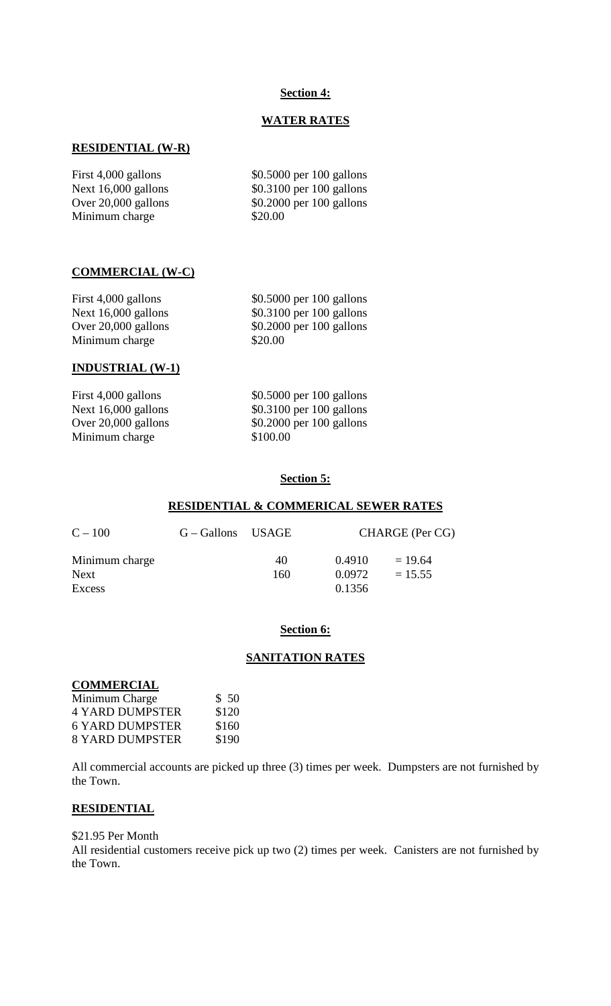# **Section 4:**

# **WATER RATES**

## **RESIDENTIAL (W-R)**

| First 4,000 gallons   | \$0.5000 per 100 gallons  |
|-----------------------|---------------------------|
| Next $16,000$ gallons | \$0.3100 per 100 gallons  |
| Over 20,000 gallons   | $$0.2000$ per 100 gallons |
| Minimum charge        | \$20.00                   |

### **COMMERCIAL (W-C)**

| First 4,000 gallons   | \$0.5000 per 100 gallons  |
|-----------------------|---------------------------|
| Next $16,000$ gallons | \$0.3100 per 100 gallons  |
| Over 20,000 gallons   | $$0.2000$ per 100 gallons |
| Minimum charge        | \$20.00                   |

# **INDUSTRIAL (W-1)**

| First 4,000 gallons   | $$0.5000$ per 100 gallons |
|-----------------------|---------------------------|
| Next $16,000$ gallons | \$0.3100 per 100 gallons  |
| Over $20,000$ gallons | \$0.2000 per 100 gallons  |
| Minimum charge        | \$100.00                  |

## **Section 5:**

## **RESIDENTIAL & COMMERICAL SEWER RATES**

| $C - 100$                               | $G -$ Gallons USAGE |           | CHARGE (Per CG)            |                        |
|-----------------------------------------|---------------------|-----------|----------------------------|------------------------|
| Minimum charge<br><b>Next</b><br>Excess |                     | 40<br>160 | 0.4910<br>0.0972<br>0.1356 | $= 19.64$<br>$= 15.55$ |
|                                         |                     |           |                            |                        |

### **Section 6:**

## **SANITATION RATES**

### **COMMERCIAL**

| Minimum Charge         | \$50  |
|------------------------|-------|
| <b>4 YARD DUMPSTER</b> | \$120 |
| 6 YARD DUMPSTER        | \$160 |
| <b>8 YARD DUMPSTER</b> | \$190 |

All commercial accounts are picked up three (3) times per week. Dumpsters are not furnished by the Town.

# **RESIDENTIAL**

## \$21.95 Per Month

All residential customers receive pick up two (2) times per week. Canisters are not furnished by the Town.